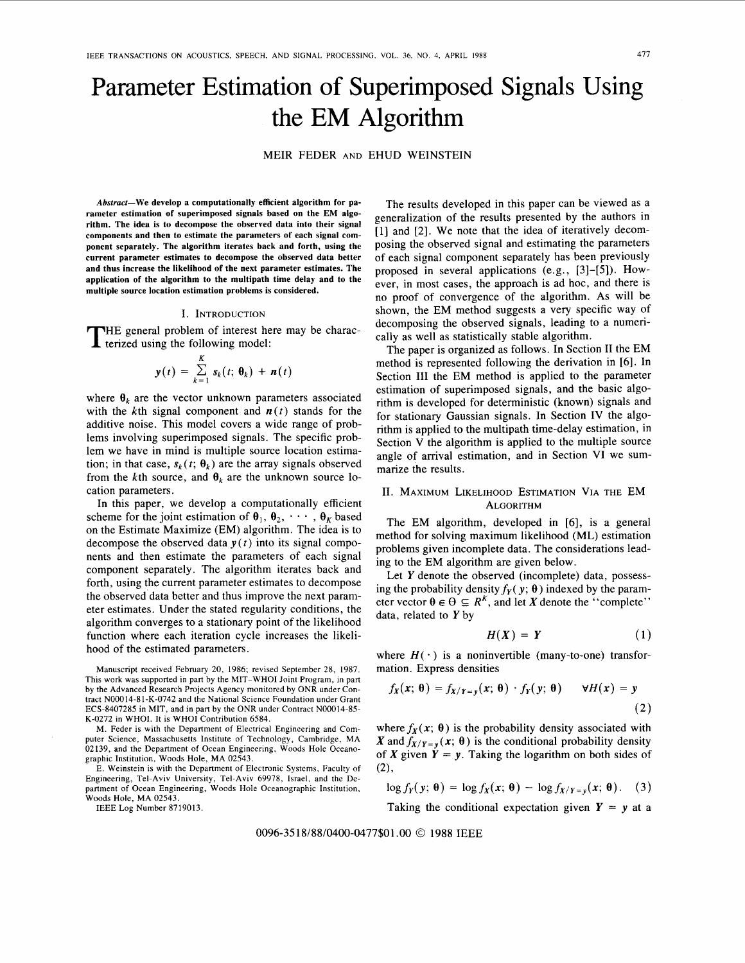# Parameter Estimation of Superimposed Signals Using the EM Algorithm

MEIR FEDER AND EHUD WEINSTEIN

**Abstract-We develop a computationally efficient algorithm for parameter estimation of superimposed signals based on the EM algorithm. The idea is to decompose the observed data into their signal components and then to estimate the parameters of each signal component separately. The algorithm iterates back and forth, using the current parameter estimates to decompose the observed data better and thus increase the likelihood of the next parameter estimates. The application of the algorithm to the multipath time delay and to the multiple source location estimation problems is considered.** 

#### I. INTRODUCTION

HE general problem of interest here may be charac-THE general problem of interest her terized using the following model:

$$
\mathbf{y}(t) = \sum_{k=1}^K \mathbf{s}_k(t; \, \boldsymbol{\theta}_k) + \mathbf{n}(t)
$$

where  $\theta_k$  are the vector unknown parameters associated with the kth signal component and  $n(t)$  stands for the additive noise. This model covers a wide range of problems involving superimposed signals. The specific problem we have in mind is multiple source location estimation; in that case,  $s_k(t; \theta_k)$  are the array signals observed from the kth source, and  $\theta_k$  are the unknown source location parameters.

In this paper, we develop a computationally efficient scheme for the joint estimation of  $\theta_1, \theta_2, \cdots, \theta_k$  based on the Estimate Maximize (EM) algorithm. The idea is to decompose the observed data  $y(t)$  into its signal components and then estimate the parameters of each signal component separately. The algorithm iterates back and forth, using the current parameter estimates to decompose the observed data better and thus improve the next parameter estimates. Under the stated regularity conditions, the algorithm converges to a stationary point of the likelihood function where each iteration cycle increases the likelihood of the estimated parameters.

M. Feder is with the Department of Electrical Engineering and Computer Science, Massachusetts Institute of Technology, Cambridge, MA 02139, and the Department of Ocean Engineering, Woods Hole Oceanographic Institution, Woods Hole, MA 02543.

E. Weinstein is with the Department **of** Electronic Systems, Faculty of Engineering, Tel-Aviv University, Tel-Aviv 69978, Israel, and the Department of Ocean Engineering, Woods Hole Oceanographic Institution, Woods Hole, MA 02543.

IEEE Log Number 8719013.

The results developed in this paper can be viewed as a generalization of the results presented by the authors in [l] and **[2].** We note that the idea of iteratively decomposing the observed signal and estimating the parameters of each signal component separately has been previously proposed in several applications (e.g., **[3]-[5]).** However, in most cases, the approach **is** ad hoc, and there is no proof of convergence of the algorithm. As will be shown, the EM method suggests a very specific way of decomposing the observed signals, leading to a numerically as well as statistically stable algorithm.

The paper is organized as follows. In Section I1 the EM method is represented following the derivation in **[6].** In Section III the EM method is applied to the parameter estimation of superimposed signals, and the basic algorithm is developed for deterministic (known) signals and for stationary Gaussian signals. In Section IV the algorithm is applied to the multipath time-delay estimation, in Section V the algorithm is applied to the multiple source angle of arrival estimation, and in Section VI we summarize the results.

# 11. MAXIMUM LIKELIHOOD ESTIMATION VIA THE EM ALGORITHM

The EM algorithm, developed in **[6],** is a general method for solving maximum likelihood (ML) estimation problems given incomplete data. The considerations leading to the EM algorithm are given below.

Let Y denote the observed (incomplete) data, possessing the probability density  $f_Y(y; \theta)$  indexed by the parameter vector  $\theta \in \Theta \subseteq R^{K}$ , and let *X* denote the "complete" data, related to  $Y$  by

$$
H(X) = Y \tag{1}
$$

where  $H(\cdot)$  is a noninvertible (many-to-one) transformation. Express densities

$$
f_X(x; \theta) = f_{X/Y=y}(x; \theta) \cdot f_Y(y; \theta) \qquad \forall H(x) = y
$$
\n(2)

where  $f_X(x; \theta)$  is the probability density associated with *X* and  $f_{X/Y=y}$  (*x*;  $\theta$ ) is the conditional probability density of X given  $\dot{Y} = y$ . Taking the logarithm on both sides of  $(2)$ ,

$$
\log f_Y(y; \theta) = \log f_X(x; \theta) - \log f_{X/Y=y}(x; \theta). \quad (3)
$$

Taking the conditional expectation given  $Y = y$  at a

0096-3518/88/0400-0477\$01.00 © 1988 IEEE

Manuscript received February 20, 1986; revised September 28, 1987. This work was supported in part by the MIT-WHO1 Joint Program, in part by the Advanced Research Projects Agency monitored by ONR under Contract N00014-81-K-0742 and the National Science Foundation under Grant ECS-8407285 in MIT, and in part by the ONR under Contract N00014-85- K-0272 in WHOI. It is WHO1 Contribution 6584.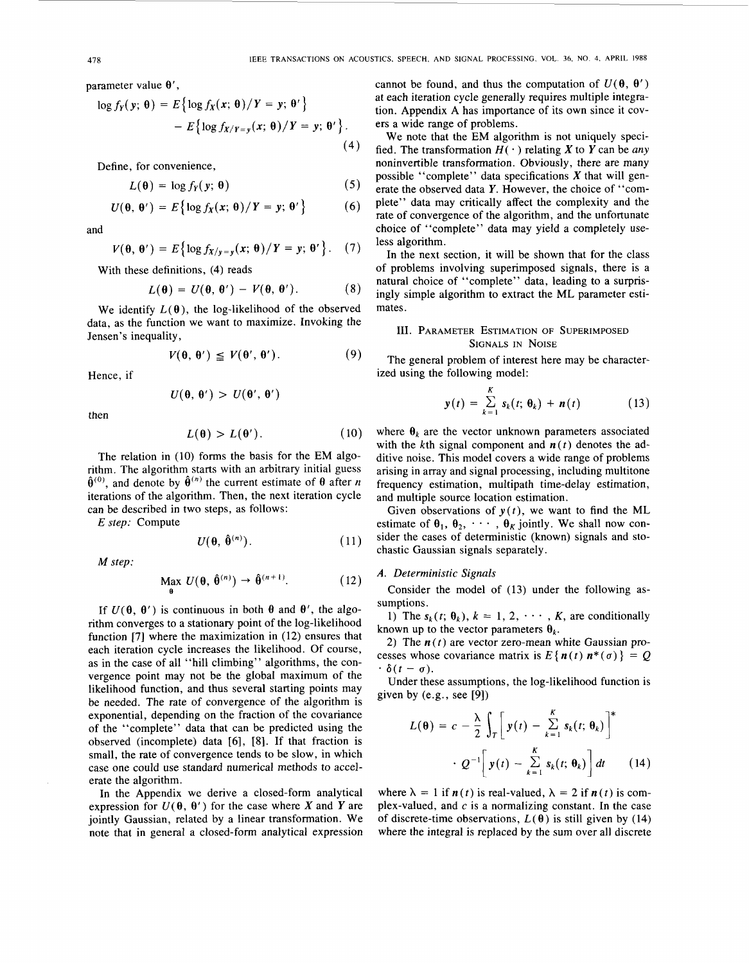parameter value  $\theta'$ ,

$$
\log f_Y(y; \theta) = E\left\{\log f_X(x; \theta)/Y = y; \theta'\right\}
$$

$$
- E\left\{\log f_{X/Y=y}(x; \theta)/Y = y; \theta'\right\}.
$$
(4)

Define, for convenience,

$$
L(\theta) = \log f_Y(y; \theta) \tag{5}
$$

$$
U(\theta, \theta') = E\big\{\log f_X(x; \theta)/Y = y; \theta'\big\} \qquad (6)
$$

and

$$
V(\theta, \theta') = E\big\{\log f_{X/y=y}(x; \theta)/Y=y; \theta'\big\}. (7)
$$

With these definitions, (4) reads

$$
L(\theta) = U(\theta, \theta') - V(\theta, \theta'). \qquad (8)
$$

We identify  $L(\theta)$ , the log-likelihood of the observed data, as the function we want to maximize. Invoking the Jensen's inequality,

$$
V(\theta, \theta') \leq V(\theta', \theta'). \tag{9}
$$

$$
U(\theta, \theta') > U(\theta', \theta')
$$

then

$$
L(\theta) > L(\theta'). \tag{10}
$$

The relation in (10) forms the basis for the EM algorithm. The algorithm starts with an arbitrary initial guess  $\hat{\theta}^{(0)}$ , and denote by  $\hat{\theta}^{(n)}$  the current estimate of  $\theta$  after *n* iterations of the algorithm. Then, the next iteration cycle can be described in two steps, as follows:

*E* step: Compute

$$
U(\theta, \hat{\theta}^{(n)}).
$$
 (11)

*M* step:

$$
\underset{\theta}{\text{Max }} U(\theta, \hat{\theta}^{(n)}) \to \hat{\theta}^{(n+1)}.
$$
 (12)

If  $U(\theta, \theta')$  is continuous in both  $\theta$  and  $\theta'$ , the algorithm converges to a stationary point of the log-likelihood function [7] where the maximization in **(12)** ensures that each iteration cycle increases the likelihood. Of course, as in the case of all "hill climbing" algorithms, the convergence point may not be the global maximum of the likelihood function, and thus several starting points may be needed. The rate of convergence of the algorithm is exponential, depending on the fraction of the covariance of the "complete" data that can be predicted using the observed (incomplete) data [6], [8]. If that fraction is small, the rate of convergence tends to be slow, in which case one could use standard numerical methods to accelerate the algorithm.

In the Appendix we derive a closed-form analytical expression for  $U(\theta, \theta')$  for the case where *X* and *Y* are jointly Gaussian, related by a linear transformation. We note that in general a closed-form analytical expression

cannot be found, and thus the computation of  $U(\theta, \theta')$ at each iteration cycle generally requires multiple integration. Appendix **A** has importance of its own since it covers a wide range of problems.

We note that the EM algorithm is not uniquely specified. The transformation  $H(\cdot)$  relating X to Y can be any noninvertible transformation. Obviously, there are many possible "complete" data specifications *X* that will generate the observed data Y. However, the choice of "complete" data may critically affect the complexity and the rate of convergence of the algorithm, and the unfortunate choice of "complete" data may yield a completely useless algorithm.

In the next section, it will be shown that for the class of problems involving superimposed signals, there is a natural choice of "complete" data, leading to a surprisingly simple algorithm to extract the ML parameter estimates.

# 111. **PARAMETER ESTIMATION OF SUPERIMPOSED SIGNALS IN NOISE**

The general problem of interest here may be character-Hence, if ized using the following model:

$$
y(t) = \sum_{k=1}^{K} s_k(t; \theta_k) + n(t) \qquad (13)
$$

where  $\theta_k$  are the vector unknown parameters associated with the kth signal component and  $n(t)$  denotes the additive noise. This model covers a wide range of problems arising in array and signal processing, including multitone frequency estimation, multipath time-delay estimation, and multiple source location estimation.

Given observations of  $y(t)$ , we want to find the ML estimate of  $\theta_1, \theta_2, \cdots, \theta_K$  jointly. We shall now consider the cases of deterministic (known) signals and stochastic Gaussian signals separately.

# *A.* Deterministic Signals

Consider the model of (13) under the following assumptions.

1) The  $s_k(t; \theta_k)$ ,  $k = 1, 2, \dots, K$ , are conditionally known up to the vector parameters  $\theta_k$ .

2) The  $n(t)$  are vector zero-mean white Gaussian processes whose covariance matrix is  $E\{n(t) n^*(\sigma)\} = Q$  $\cdot \delta(t-\sigma)$ .

Under these assumptions, the log-likelihood function is given by (e.g., see [9])

$$
L(\theta) = c - \frac{\lambda}{2} \int_T \left[ y(t) - \sum_{k=1}^K s_k(t; \theta_k) \right]^*
$$

$$
\cdot Q^{-1} \left[ y(t) - \sum_{k=1}^K s_k(t; \theta_k) \right] dt \qquad (14)
$$

where  $\lambda = 1$  if  $n(t)$  is real-valued,  $\lambda = 2$  if  $n(t)$  is complex-valued, and  $c$  is a normalizing constant. In the case of discrete-time observations,  $L(\theta)$  is still given by (14) where the integral is replaced by the sum over all discrete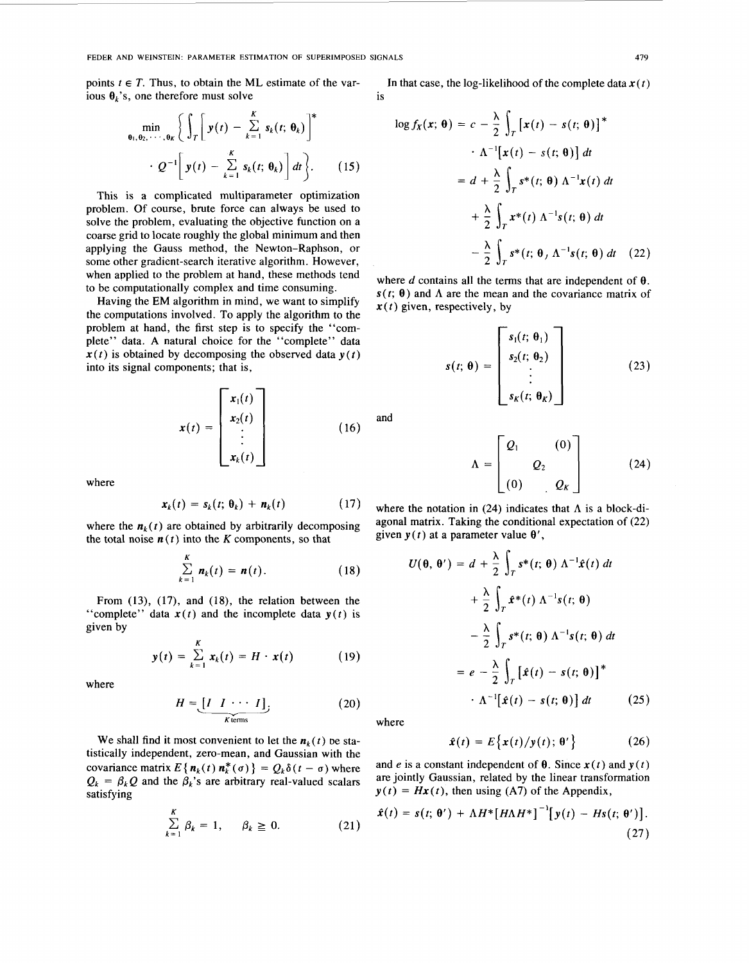points  $t \in T$ . Thus, to obtain the ML estimate of the various  $\theta_k$ 's, one therefore must solve

$$
\min_{\theta_1, \theta_2, \cdots, \theta_K} \left\{ \int_T \left[ y(t) - \sum_{k=1}^K s_k(t; \theta_k) \right]^* \right.
$$
  
 
$$
\cdot Q^{-1} \left[ y(t) - \sum_{k=1}^K s_k(t; \theta_k) \right] dt \left\}.
$$
 (15)

This is a complicated multiparameter optimization problem. Of course, brute force can always be used to  $+\frac{\lambda}{2}\int_{T} x^{*}(t) \Lambda^{-1}s(t; \theta) dt$ <br>solve the problem, evaluating the objective function on a coarse grid to locate roughly the global minimum and then applying the Gauss method, the Newton-Raphson, or some other gradient-search iterative algorithm. However, when applied to the problem at hand, these methods tend where  $d$  contains all the terms that are independent of  $\theta$ . to be computationally complex and time consuming.

Having the EM algorithm in mind, we want to simplify the computations involved. To apply the algorithm to the problem- at hand, the first step is io specify the "complete" data. A natural choice for the "complete" data  $x(t)$  is obtained by decomposing the observed data  $y(t)$ into its signal components; that is,

$$
\mathbf{x}(t) = \begin{bmatrix} \mathbf{x}_1(t) \\ \mathbf{x}_2(t) \\ \vdots \\ \mathbf{x}_k(t) \end{bmatrix} \tag{16}
$$

where

$$
\mathbf{x}_k(t) = \mathbf{s}_k(t; \, \boldsymbol{\theta}_k) + \mathbf{n}_k(t) \tag{17}
$$

where the  $n_k(t)$  are obtained by arbitrarily decomposing the total noise  $n(t)$  into the *K* components, so that

$$
\sum_{k=1}^{K} n_k(t) = n(t). \qquad (18)
$$

From **(13), (17),** and **(18),** the relation between the "complete" data  $x(t)$  and the incomplete data  $y(t)$  is given by

$$
y(t) = \sum_{k=1}^{K} x_k(t) = H \cdot x(t) \qquad (19)
$$

where

$$
H = \underbrace{[I \quad I \quad \cdots \quad I]}_{K \text{ terms}}.
$$
 (20)

We shall find it most convenient to let the  $n_k(t)$  be statistically independent, zero-mean, and Gaussian with the covariance matrix  $E\{\mathbf{n}_k(t)\mathbf{n}_k^*(\sigma)\} = Q_k\delta(t-\sigma)$  where  $Q_k = \beta_k Q$  and the  $\beta_k$ 's are arbitrary real-valued scalars satisfying

$$
\sum_{k=1}^{K} \beta_k = 1, \quad \beta_k \geq 0. \tag{21}
$$

In that case, the log-likelihood of the complete data  $x(t)$ is

$$
0 = \sum_{k=1}^{K} s_k(t; \theta_k) \begin{bmatrix} * & \log f_X(x; \theta) = c - \frac{\lambda}{2} \int_T [x(t) - s(t; \theta)]^* \\ \sum_{k=1}^{K} s_k(t; \theta_k) \end{bmatrix} dt, \qquad (15)
$$
  
\nmultiparameter optimization  
\nforce can always be used to  
\ng the objective function on a  
\nthe global minimum and then  
\n, the Newton-Raphson, or  
\nerative algorithm. However,  
\n
$$
0 = d + \frac{\lambda}{2} \int_T s^*(t) \Lambda^{-1} s(t; \theta) dt
$$
  
\n
$$
= \frac{\lambda}{2} \int_T s^*(t; \theta) \Lambda^{-1} s(t; \theta) dt
$$
  
\n
$$
= \frac{\lambda}{2} \int_T s^*(t; \theta) \Lambda^{-1} s(t; \theta) dt
$$
  
\n
$$
= \frac{\lambda}{2} \int_T s^*(t; \theta) \Lambda^{-1} s(t; \theta) dt
$$
 (22)

 $s(t; \theta)$  and  $\Lambda$  are the mean and the covariance matrix of  $x(t)$  given, respectively, by

$$
s(t; \theta) = \begin{bmatrix} s_1(t; \theta_1) \\ s_2(t; \theta_2) \\ \vdots \\ s_K(t; \theta_K) \end{bmatrix}
$$
 (23)

and

$$
\Lambda = \begin{bmatrix} Q_1 & (0) \\ & Q_2 \\ (0) & Q_K \end{bmatrix} \tag{24}
$$

where the notation in  $(24)$  indicates that  $\Lambda$  is a block-diagonal matrix. Taking the conditional expectation of *(22)*  given  $y(t)$  at a parameter value  $\theta'$ ,

$$
U(\theta, \theta') = d + \frac{\lambda}{2} \int_{T} s^{*}(t; \theta) \Lambda^{-1} \hat{x}(t) dt
$$
  
+ 
$$
\frac{\lambda}{2} \int_{T} \hat{x}^{*}(t) \Lambda^{-1} s(t; \theta)
$$
  
- 
$$
\frac{\lambda}{2} \int_{T} s^{*}(t; \theta) \Lambda^{-1} s(t; \theta) dt
$$
  
= 
$$
e - \frac{\lambda}{2} \int_{T} [\hat{x}(t) - s(t; \theta)]^{*}
$$
  

$$
\cdot \Lambda^{-1} [\hat{x}(t) - s(t; \theta)] dt
$$
(25)

where

$$
\hat{\mathbf{x}}(t) = E\big\{\mathbf{x}(t)/\mathbf{y}(t); \, \boldsymbol{\theta}'\big\} \tag{26}
$$

and *e* is a constant independent of  $\theta$ . Since  $\mathbf{x}(t)$  and  $\mathbf{y}(t)$ are jointly Gaussian, related by the linear transformation  $y(t) = Hx(t)$ , then using (A7) of the Appendix,

$$
\hat{\boldsymbol{x}}(t) = \boldsymbol{s}(t; \boldsymbol{\theta}') + \Lambda H^* \big[ H \Lambda H^* \big]^{-1} \big[ \boldsymbol{y}(t) - H \boldsymbol{s}(t; \boldsymbol{\theta}') \big]. \tag{27}
$$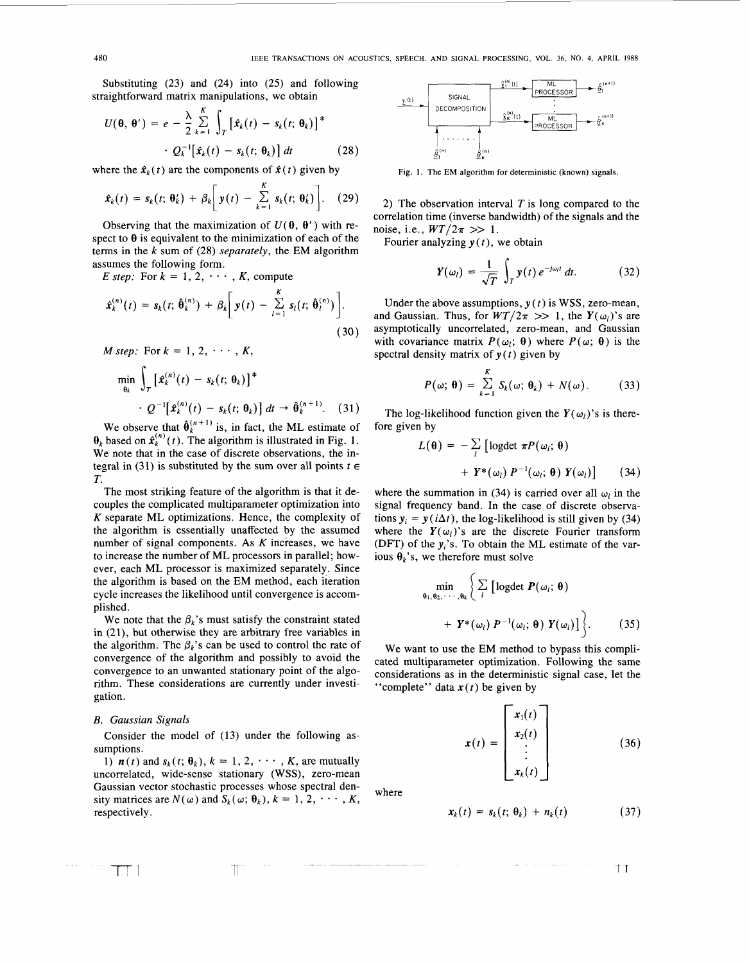Substituting **(23)** and **(24)** into (25) and following straightforward matrix manipulations, we obtain

$$
U(\theta, \theta') = e - \frac{\lambda}{2} \sum_{k=1}^{K} \int_{T} \left[ \hat{x}_{k}(t) - s_{k}(t; \theta_{k}) \right]^{*} \cdot Q_{k}^{-1} \left[ \hat{x}_{k}(t) - s_{k}(t; \theta_{k}) \right] dt \qquad (28)
$$

where the  $\hat{\mathbf{x}}_k(t)$  are the components of  $\hat{\mathbf{x}}(t)$  given by

$$
\hat{\mathbf{x}}_k(t) = s_k(t; \boldsymbol{\theta}_k^t) + \beta_k \bigg[ \mathbf{y}(t) - \sum_{k=1}^K s_k(t; \boldsymbol{\theta}_k^t) \bigg]. \quad (29)
$$

Observing that the maximization of  $U(\theta, \theta')$  with respect to  $\theta$  is equivalent to the minimization of each of the terms in the k sum of **(28)** *separately,* the EM algorithm assumes the following form.

*E* step: For  $k = 1, 2, \cdots, K$ , compute

$$
\hat{x}_k^{(n)}(t) = s_k(t; \hat{\theta}_k^{(n)}) + \beta_k \bigg[ y(t) - \sum_{l=1}^K s_l(t; \hat{\theta}_l^{(n)}) \bigg].
$$
\n(30)

$$
M step: \text{ For } k = 1, 2, \cdots, K,
$$
\n
$$
\min_{\theta_k} \int_T \left[ \hat{x}_k^{(n)}(t) - s_k(t; \theta_k) \right]^*
$$
\n
$$
\cdot Q^{-1} \left[ \hat{x}_k^{(n)}(t) - s_k(t; \theta_k) \right] dt \rightarrow \hat{\theta}_k^{(n+1)}.
$$
\n(31)

We observe that  $\hat{\theta}_k^{(n+1)}$  is, in fact, the ML estimate of  $\theta_k$  based on  $\hat{\mathbf{x}}_k^{(n)}(t)$ . The algorithm is illustrated in Fig. 1. We note that in the case of discrete observations, the integral in (31) is substituted by the sum over all points  $t \in$ *T.* 

The most striking feature of the algorithm is that it decouples the complicated multiparameter optimization into *K* separate ML optimizations. Hence, the complexity of the algorithm is essentially unaffected by the assumed number of signal components. **As** *K* increases, we have to increase the number of ML processors in parallel; however, each ML processor is maximized separately. Since the algorithm is based on the EM method, each iteration cycle increases the likelihood until convergence is accomplished.

We note that the  $\beta_k$ 's must satisfy the constraint stated in **(21),** but otherwise they are arbitrary free variables in the algorithm. The  $\beta_k$ 's can be used to control the rate of convergence of the algorithm and possibly to avoid the convergence to an unwanted stationary point of the algorithm. These considerations are currently under investigation.

## *B. Gaussian Signals*

Consider the model of **(13)** under the following assumptions.

1)  $\mathbf{n}(t)$  and  $\mathbf{s}_k(t; \theta_k)$ ,  $k = 1, 2, \dots, K$ , are mutually uncorrelated, wide-sense stationary (WSS), zero-mean Gaussian vector stochastic processes whose spectral density matrices are  $N(\omega)$  and  $S_k(\omega; \theta_k)$ ,  $k = 1, 2, \dots, K$ , respectively.

T



**Fig. 1. The EM algorithm for deterministic (known) signals.** 

**2)** The observation interval **T** is long compared to the correlation time (inverse bandwidth) of the signals and the noise, i.e.,  $WT/2\pi >> 1$ .

Fourier analyzing *y (t),* we obtain

$$
\mathbf{Y}(\omega_l) = \frac{1}{\sqrt{T}} \int_T \mathbf{y}(t) \, e^{-j\omega_l t} \, dt. \tag{32}
$$

Under the above assumptions,  $y(t)$  is WSS, zero-mean, and Gaussian. Thus, for  $WT/2\pi >> 1$ , the  $Y(\omega_l)$ 's are asymptotically uncorrelated, zero-mean, and Gaussian with covariance matrix  $P(\omega_i; \theta)$  where  $P(\omega; \theta)$  is the spectral density matrix of  $y(t)$  given by

$$
P(\omega; \theta) = \sum_{k=1}^{K} S_k(\omega; \theta_k) + N(\omega).
$$
 (33)

The log-likelihood function given the  $Y(\omega_l)$ 's is therefore given by

$$
L(\theta) = -\sum_{l} \left[ \text{logdet } \pi P(\omega_{l}; \theta) + Y^*(\omega_{l}) P^{-1}(\omega_{l}; \theta) Y(\omega_{l}) \right]
$$
 (34)

where the summation in (34) is carried over all  $\omega_l$  in the signal frequency band. In the case of discrete observations  $y_i = y(i\Delta t)$ , the log-likelihood is still given by (34) where the  $Y(\omega_l)$ 's are the discrete Fourier transform (DFT) of the  $y_i$ 's. To obtain the ML estimate of the various  $\theta_k$ 's, we therefore must solve

$$
\min_{\theta_1, \theta_2, \cdots, \theta_k} \left\{ \sum_l \left[ \text{logdet } P(\omega_l; \theta) + Y^*(\omega_l) P^{-1}(\omega_l; \theta) Y(\omega_l) \right] \right\}. \tag{35}
$$

We want to use the EM method to bypass this complicated multiparameter optimization. Following the same considerations as in the deterministic signal case, let the "complete" data  $x(t)$  be given by

$$
\mathbf{x}(t) = \begin{bmatrix} \mathbf{x}_1(t) \\ \mathbf{x}_2(t) \\ \vdots \\ \mathbf{x}_k(t) \end{bmatrix}
$$
 (36)

where

$$
\mathbf{x}_k(t) = \mathbf{s}_k(t; \, \boldsymbol{\theta}_k) + \mathbf{n}_k(t) \tag{37}
$$

 $\top$ T

TT I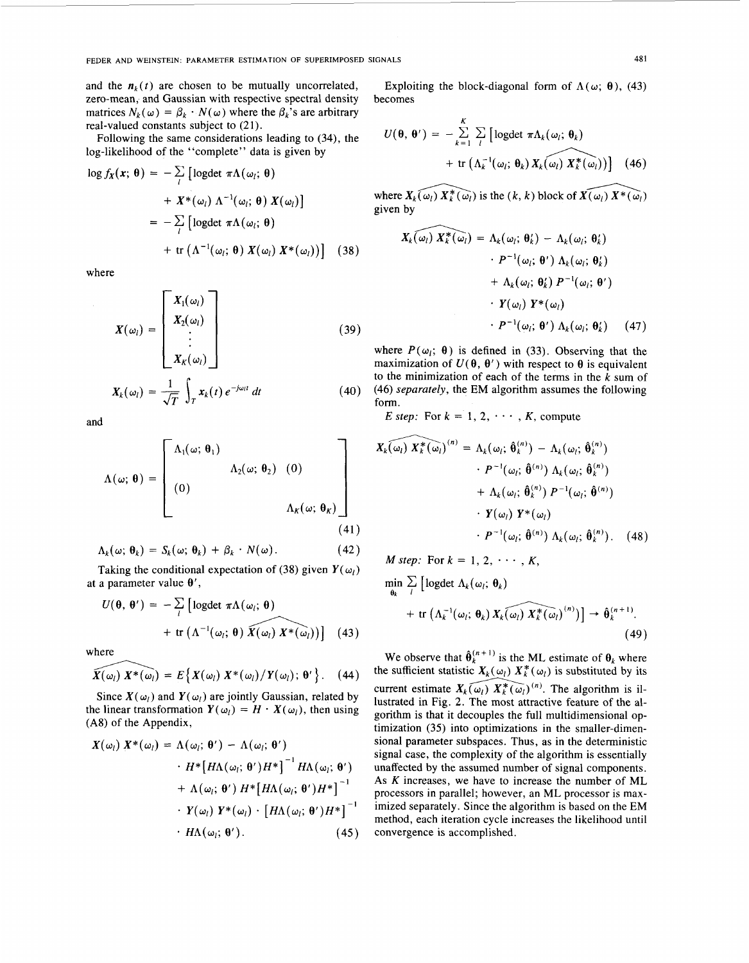and the  $n_k(t)$  are chosen to be mutually uncorrelated, zero-mean, and Gaussian with respective spectral density matrices  $N_k(\omega) = \beta_k \cdot N(\omega)$  where the  $\beta_k$ 's are arbitrary real-valued constants subject to  $(21)$ .

Following the same considerations leading to (34), the log-likelihood of the "complete" data is given by

$$
\log f_X(\mathbf{x}; \, \boldsymbol{\theta}) = -\sum_{l} \left[ \log \det \, \pi \Lambda(\omega_l; \, \boldsymbol{\theta}) \right. \\ \left. + X^*(\omega_l) \, \Lambda^{-1}(\omega_l; \, \boldsymbol{\theta}) \, X(\omega_l) \right] \\ = -\sum_{l} \left[ \log \det \, \pi \Lambda(\omega_l; \, \boldsymbol{\theta}) \right. \\ \left. + \text{tr} \left( \Lambda^{-1}(\omega_l; \, \boldsymbol{\theta}) \, X(\omega_l) \, X^*(\omega_l) \right) \right] \tag{38}
$$

where

$$
X(\omega_l) = \begin{bmatrix} X_1(\omega_l) \\ X_2(\omega_l) \\ \vdots \\ X_K(\omega_l) \end{bmatrix}
$$
(39)

$$
X_k(\omega_l) = \frac{1}{\sqrt{T}} \int_T \mathbf{x}_k(t) \, e^{-j\omega_l t} \, dt \tag{40}
$$

and

$$
\Lambda(\omega; \theta) = \begin{bmatrix}\n\Lambda_1(\omega; \theta_1) & & & \\
\Lambda_2(\omega; \theta_2) & (0) & & \\
(0) & & & \Lambda_K(\omega; \theta_K)\n\end{bmatrix}
$$
\n(41)

$$
\Lambda_k(\omega; \, \theta_k) = S_k(\omega; \, \theta_k) + \beta_k \cdot N(\omega). \tag{42}
$$

Taking the conditional expectation of (38) given  $Y(\omega_l)$ at a parameter value  $\theta'$ ,

$$
U(\theta, \theta') = -\sum_{l} \left[ \text{logdet } \pi \Lambda(\omega_{l}; \theta) + \text{tr} \left( \Lambda^{-1}(\omega_{l}; \theta) \overline{X(\omega_{l})} \overline{X^*(\omega_{l})} \right) \right] \quad (43)
$$

where

$$
\widehat{X(\omega_l)}\ X^*(\omega_l)=E\big\{X(\omega_l)\ X^*(\omega_l)/Y(\omega_l);\ \theta'\big\}.\ \ (44)
$$

Since  $X(\omega_i)$  and  $Y(\omega_i)$  are jointly Gaussian, related by the linear transformation  $Y(\omega_l) = H \cdot X(\omega_l)$ , then using (A8) of the Appendix,

$$
X(\omega_l) X^*(\omega_l) = \Lambda(\omega_l; \theta') - \Lambda(\omega_l; \theta')
$$
  
+ 
$$
H^* [H\Lambda(\omega_l; \theta') H^*]^{-1} H\Lambda(\omega_l; \theta')
$$
  
+ 
$$
\Lambda(\omega_l; \theta') H^* [H\Lambda(\omega_l; \theta') H^*]^{-1}
$$
  

$$
\cdot Y(\omega_l) Y^*(\omega_l) \cdot [H\Lambda(\omega_l; \theta') H^*]^{-1}
$$
  

$$
\cdot H\Lambda(\omega_l; \theta'). \qquad (45)
$$

Exploiting the block-diagonal form of  $\Lambda(\omega; \theta)$ , (43) becomes

$$
U(\theta, \theta') = -\sum_{k=1}^{K} \sum_{l} \left[ \text{logdet } \pi \Lambda_k(\omega_l; \theta_k) + \text{tr} \left( \Lambda_k^{-1}(\omega_l; \theta_k) X_k(\omega_l) X_k^*(\omega_l) \right) \right] \quad (46)
$$

where  $X_k(\omega_l) X_k^*(\omega_l)$  is the  $(k, k)$  block of  $\widehat{X(\omega_l)} X^*(\omega_l)$ given by

$$
X_k(\omega_l) X_k^*(\omega_l) = \Lambda_k(\omega_l; \theta'_k) - \Lambda_k(\omega_l; \theta'_k)
$$
  

$$
\cdot P^{-1}(\omega_l; \theta') \Lambda_k(\omega_l; \theta'_k)
$$
  

$$
+ \Lambda_k(\omega_l; \theta'_k) P^{-1}(\omega_l; \theta')
$$
  

$$
\cdot Y(\omega_l) Y^*(\omega_l)
$$
  

$$
\cdot P^{-1}(\omega_l; \theta') \Lambda_k(\omega_l; \theta'_k)
$$
 (47)

where  $P(\omega_i; \theta)$  is defined in (33). Observing that the maximization of  $U(\theta, \theta')$  with respect to  $\theta$  is equivalent to the minimization of each of the terms in the *k* sum of (46) *separately,* the EM algorithm assumes the following  $(46)$  s<br>form.

*E* step: For  $k = 1, 2, \cdots, K$ , compute

$$
X_k(\omega_l) X_k^*(\omega_l)^{(n)} = \Lambda_k(\omega_l; \hat{\theta}_k^{(n)}) - \Lambda_k(\omega_l; \hat{\theta}_k^{(n)})
$$

$$
\cdot P^{-1}(\omega_l; \hat{\theta}^{(n)}) \Lambda_k(\omega_l; \hat{\theta}_k^{(n)})
$$

$$
+ \Lambda_k(\omega_l; \hat{\theta}_k^{(n)}) P^{-1}(\omega_l; \hat{\theta}^{(n)})
$$

$$
\cdot Y(\omega_l) Y^*(\omega_l)
$$

$$
\cdot P^{-1}(\omega_l; \hat{\theta}^{(n)}) \Lambda_k(\omega_l; \hat{\theta}_k^{(n)})
$$
(48)

$$
M step: \text{ For } k = 1, 2, \cdots, K,
$$
  
\n
$$
\min_{\theta_k} \sum_{l} \left[ \text{logdet } \Lambda_k(\omega_l; \theta_k) + \text{tr} \left( \Lambda_k^{-1}(\omega_l; \theta_k) X_k(\omega_l) X_k^*(\omega_l)^{(n)} \right) \right] \rightarrow \hat{\theta}_k^{(n+1)}.
$$
\n(49)

We observe that  $\hat{\theta}_k^{(n+1)}$  is the ML estimate of  $\theta_k$  where the sufficient statistic  $X_k(\omega_l) X_k^*(\omega_l)$  is substituted by its current estimate  $X_k(\omega_l)$   $X_k^*(\omega_l)^{(n)}$ . The algorithm is illustrated in [Fig. 2.](#page-5-0) The most attractive feature of the algorithm is that it decouples the full multidimensional optimization (35) into optimizations in the smaller-dimensional parameter subspaces. Thus, as in the deterministic signal case, the complexity of the algorithm is essentially unaffected by the assumed number of signal components. As *K* increases, we have to increase the number of ML processors in parallel; however, an ML processor is maximized separately. Since the algorithm is based on the EM method, each iteration cycle increases the likelihood until convergence is accomplished.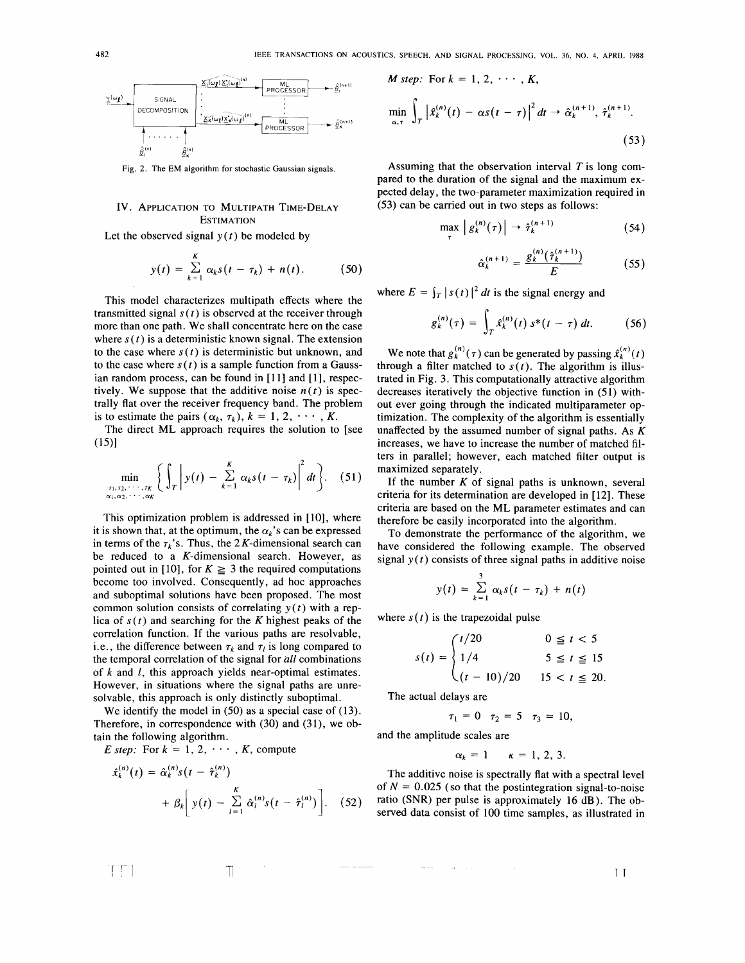<span id="page-5-0"></span>

**Fig. 2. The** EM **algorithm** for **stochastic Gaussian signals.** 

# **IV.** APPLICATION **TO** MULTIPATH TIME-DELAY **ESTIMATION**

Let the observed signal  $y(t)$  be modeled by

$$
y(t) = \sum_{k=1}^K \alpha_k s(t-\tau_k) + n(t). \qquad (50)
$$

This model characterizes multipath effects where the transmitted signal  $s(t)$  is observed at the receiver through more than one path. We shall concentrate here on the case where  $s(t)$  is a deterministic known signal. The extension to the case where  $s(t)$  is deterministic but unknown, and to the case where  $s(t)$  is a sample function from a Gaussian random process, can be found in **[ll]** and **[l],** respectively. We suppose that the additive noise  $n(t)$  is spectrally flat over the receiver frequency band. The problem is to estimate the pairs  $(\alpha_k, \tau_k)$ ,  $k = 1, 2, \dots, K$ .

The direct ML approach requires the solution to [see  $(15)$ ]

$$
\min_{\substack{\tau_1,\tau_2,\cdots,\tau_K\\\alpha_1,\alpha_2,\cdots,\alpha_K}}\bigg\{\int_{\tau}\bigg|y(t)-\sum_{k=1}^K\alpha_ks(t-\tau_k)\bigg|^2 dt\bigg\}.\quad(51)
$$

This optimization problem is addressed in **[lo],** where it is shown that, at the optimum, the  $\alpha_k$ 's can be expressed in terms of the  $\tau_k$ 's. Thus, the 2K-dimensional search can be reduced to a K-dimensional search. However, as pointed out in [10], for  $K \geq 3$  the required computations become too involved. Consequently, ad hoc approaches and suboptimal solutions have been proposed. The most common solution consists of correlating *y( t)* with a replica of  $s(t)$  and searching for the K highest peaks of the correlation function. If the various paths are resolvable, i.e., the difference between  $\tau_k$  and  $\tau_l$  is long compared to the temporal correlation of the signal for *all* combinations of  $k$  and  $l$ , this approach yields near-optimal estimates. However, in situations where the signal paths are unresolvable, this approach is only distinctly suboptimal.

We identify the model in (50) as a special case of **(13).**  Therefore, in correspondence with **(30)** and **(31),** we obtain the following algorithm.

*E* step: For  $k = 1, 2, \cdots, K$ , compute

$$
x_k^{(n)}(t) = \hat{\alpha}_k^{(n)} s(t - \hat{\tau}_k^{(n)}) + \beta_k \left[ y(t) - \sum_{l=1}^K \hat{\alpha}_l^{(n)} s(t - \hat{\tau}_l^{(n)}) \right].
$$
 (52)

$$
M step: \text{ For } k = 1, 2, \cdots, K,
$$
  
\n
$$
\min_{\alpha, \tau} \int_{T} \left| \hat{x}_{k}^{(n)}(t) - \alpha s(t - \tau) \right|^{2} dt \rightarrow \hat{\alpha}_{k}^{(n+1)}, \hat{\tau}_{k}^{(n+1)}.
$$
\n(53)

Assuming that the observation interval *T* is long compared to the duration of the signal and the maximum expected delay, the two-parameter maximization required in **(53)** can be carried out in two steps as follows:

$$
\max_{\tau} |g_k^{(n)}(\tau)| \to \hat{\tau}_k^{(n+1)} \tag{54}
$$

$$
\hat{\alpha}_{k}^{(n+1)} = \frac{g_{k}^{(n)}(\hat{\tau}_{k}^{(n+1)})}{E} \tag{55}
$$

where  $E = \int_T |s(t)|^2 dt$  is the signal energy and

$$
g_k^{(n)}(\tau) = \int_{T} \hat{x}_k^{(n)}(t) s^*(t-\tau) dt.
$$
 (56)

We note that  $g_k^{(n)}(\tau)$  can be generated by passing  $\hat{x}_k^{(n)}(t)$ through a filter matched to  $s(t)$ . The algorithm is illustrated in [Fig.](#page-6-0) **3.** This computationally attractive algorithm decreases iteratively the objective function in (51) without ever going through the indicated multiparameter optimization. The complexity of the algorithm is essentially unaffected by the assumed number of signal paths. As  $K$ increases, we have to increase the number of matched filters in parallel; however, each matched filter output is maximized separately.

If the number  $K$  of signal paths is unknown, several criteria for its determination are developed in [ **121.** These criteria are based on the ML parameter estimates and can therefore be easily incorporated into the algorithm.

To demonstrate the performance of the algorithm, we have considered the following example. The observed signal  $y(t)$  consists of three signal paths in additive noise

$$
y(t) = \sum_{k=1}^{3} \alpha_k s(t - \tau_k) + n(t)
$$

where  $s(t)$  is the trapezoidal pulse

$$
s(t) = \begin{cases} t/20 & 0 \le t < 5\\ 1/4 & 5 \le t \le 15\\ (t - 10)/20 & 15 < t \le 20. \end{cases}
$$

The actual delays are

$$
\tau_1 = 0 \quad \tau_2 = 5 \quad \tau_3 = 10,
$$

and the amplitude scales are

$$
\alpha_k = 1 \qquad \kappa = 1, 2, 3.
$$

The additive noise is spectrally flat with a spectral level of  $N = 0.025$  (so that the postintegration signal-to-noise ratio **(SNR)** per pulse is approximately **16** dB). The observed data consist of 100 time samples, as illustrated in

l'alian de la familia de la familia de la familia de la familia de la familia de la familia de la familia de l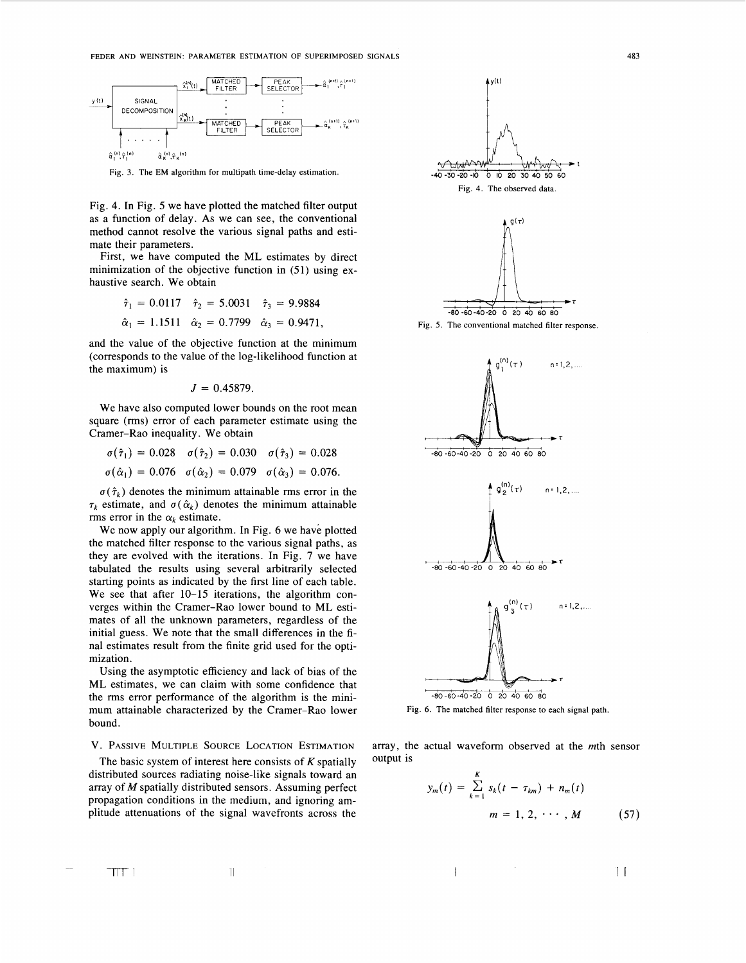<span id="page-6-0"></span>

**Fig. 3. The EM algorithm for multipath time-delay estimation.** 

Fig. 4. In Fig. 5 we have plotted the matched filter output as a function of delay. As we can see, the conventional method cannot resolve the various signal paths and estimate their parameters.

First, we have computed the **ML** estimates by direct minimization of the objective function in (51) using exhaustive search. We obtain

$$
\hat{\tau}_1 = 0.0117
$$
  $\hat{\tau}_2 = 5.0031$   $\hat{\tau}_3 = 9.9884$   
\n $\hat{\alpha}_1 = 1.1511$   $\hat{\alpha}_2 = 0.7799$   $\hat{\alpha}_3 = 0.9471$ ,

and the value of the objective function at the minimum (corresponds to the value of the log-likelihood function at the maximum) is

$$
J=0.45879.
$$

We have also computed lower bounds on the root mean square (rms) error of each parameter estimate using the Cramer-Rao inequality. We obtain

$$
\sigma(\hat{\tau}_1) = 0.028 \quad \sigma(\hat{\tau}_2) = 0.030 \quad \sigma(\hat{\tau}_3) = 0.028
$$
  

$$
\sigma(\hat{\alpha}_1) = 0.076 \quad \sigma(\hat{\alpha}_2) = 0.079 \quad \sigma(\hat{\alpha}_3) = 0.076.
$$

 $\sigma(\hat{\tau}_k)$  denotes the minimum attainable rms error in the  $\tau_k$  estimate, and  $\sigma(\hat{\alpha}_k)$  denotes the minimum attainable rms error in the  $\alpha_k$  estimate.

We now apply our algorithm. In Fig. 6 we have plotted the matched filter response to the various signal paths, as they are evolved with the iterations. In Fig. 7 we have tabulated the results using several arbitrarily selected starting points as indicated by the first line of each table. We see that after 10-15 iterations, the algorithm converges within the Cramer-Rao lower bound to **ML** estimates of all the unknown parameters, regardless of the initial guess. We note that the small differences in the final estimates result from the finite grid used for the optimization.

Using the asymptotic efficiency and lack of bias of the **ML** estimates, we can claim with some confidence that the rms error performance of the algorithm is the minimum attainable characterized by the Cramer-Rao lower Fig. 6. The matched filter response to each signal path. bound.

**V. PASSIVE MULTIPLE SOURCE LOCATION ESTIMATION** 

The basic system of interest here consists of *K* spatially distributed sources radiating noise-like signals toward an propagation conditions in the medium, and ignoring amplitude attenuations of the signal wavefronts across the array of *M* spatially distributed sensors. Assuming perfect





array, the actual waveform observed at the mth sensor Output is

 $\overline{\phantom{a}}$ 

$$
y_m(t) = \sum_{k=1}^{K} s_k(t - \tau_{km}) + n_m(t)
$$
  

$$
m = 1, 2, \cdots, M
$$
 (57)

 $TTT$ 

 $\mathbf{H}$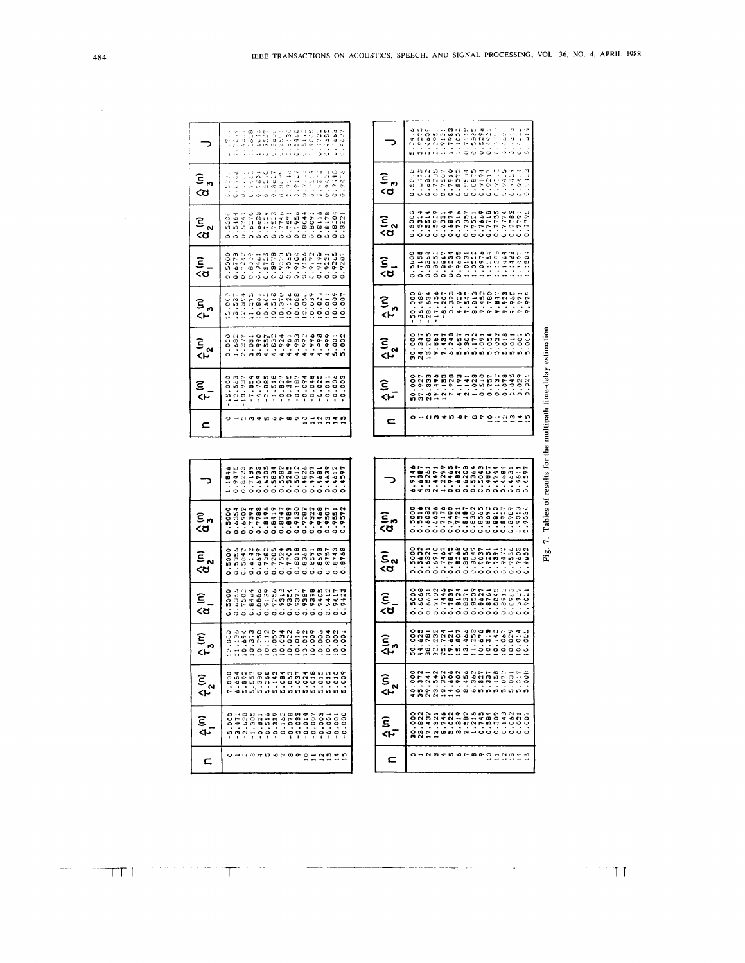| 0.36295<br>2140.0<br>0.9243<br>$-5.82$<br>0.7440<br>$-955$<br>0.7432<br>0.8e.T<br>0.9246<br>$-14.17$<br>こうくうこ<br>یات کا دیا ہے<br>جات<br>0.8290<br>0.780<br>うらう<br>نيا ٿيو.<br>ح<br>0.7746<br>0.75.3<br>5336.13<br>0.574.13<br>0.6276<br>0.28<br>0.7114<br>ŏ.<br>O<br>0.7954<br>0.8044<br>3713.0<br>0.820<br>0.2114<br>0.7871<br>0.809.5<br>0.322<br>0.5000<br>E715<br>90.6<br>0.900<br>0.900<br>0.0<br>0.9198<br>0.9245<br>8773<br>こっここつ<br>0.8009<br>0.3461<br>0.9104<br>0.9156<br>21.61.72<br>0.9231<br>0.928<br>å<br>$\begin{array}{c} 1 & 0 & 0 & 0 \\ 0 & 0 & 0 & 0 \\ 0 & 0 & 0 & 0 \\ 0 & 0 & 0 & 0 \end{array}$<br>$10.126$<br>$10.068$<br>$\frac{1}{2}$<br>10.370<br>10.039<br>10.009<br>10.007<br>このこ<br>11.375<br>10.05<br>55.52<br>10.02<br>0.000<br>0.000<br>0.000<br>0.44<br>4.924<br>1.983<br>44998<br>44998<br>44999<br>š<br>$7.882$<br>2.384<br>5.00<br>3.081<br>$-1.518$<br>$-10.7$<br>$-7.8$<br>$-10.07$<br>$-10.07$<br>$-0.827$<br>$-0.07$<br>$+0.07$<br>$-0.07$<br>$-0.006$<br>-0.003<br>$-2.885$<br>$-0.025$<br>$-12.563$<br>$-15.000$<br>$-0.011$<br>Ó<br>$\mathfrak{c}$<br>$\Xi$ $\Omega$<br>£<br>ო<br>$n - n$<br>- ത<br>۰<br>$\tilde{c}$<br>$\frac{m}{4}$<br>14597<br>.1846<br>0.4639<br>0.4612<br>0.9475<br>0.823<br>0.5265<br>0.4826<br>0.5582<br>0.6203<br>0.4707<br>0.6733<br>0.719<br>0.583<br>0.468<br>0.8196<br>0.8419<br>0.9468<br>0.7783<br>0.8747<br>0.899<br>0.9282<br>0.9322<br>.9572<br>0.5000<br>0.6902<br>0.7394<br>0.9130<br>0.9507<br>0.6354<br>0.955<br>8768<br>0.8743<br>0.5356<br>C.5842<br>0.7082<br>0.7524<br>0.7703<br>0.8018<br>0.8360<br>0.8673<br>8757<br>0.5000<br>6142<br>0.6699<br>0.7205<br>.859<br>.9423<br>0.9412<br>$-0.139$<br>2156.0<br>7859.<br>.9417<br>0.5000<br>0.6404<br>-999.<br>0.9226<br>0.9313<br>$-9405$<br>0.6356<br>$-7502$<br>356<br>0.9354<br>10.059<br>10.016<br>3.012<br>10.009<br>10.004<br>10.002<br>10.373<br>10.112<br>00.2<br>10.022<br>10.256<br>0.034<br>11.13<br>0.65<br>0.001<br>°°C. | $-24.18$<br>$-0.46.38$<br>0.5627<br>にっぽんこう<br>i i i i i i i i<br>1.3841<br>Ř<br>i<br>Saidhi<br>$\frac{3}{2}$<br>$\frac{3}{2}$<br>e<br>S<br>$\cdot \cdot$<br>こうけい<br>计准备项<br>en 14<br>List |  | ミッ | Ξ<br><ਹ | ε<br><α | ⊆<br><ປ |  | ج<br><r< th=""><th><math>\hat{\tau}^{\alpha}_{\alpha}</math></th><th><math>\hat{\tau}^{\bullet}_{\bullet}</math></th><th>ca<br/><d< th=""><th>ទី<br/>&lt;៥</th><th>G<br/><d< th=""><th></th></d<></th></d<></th></r<> | $\hat{\tau}^{\alpha}_{\alpha}$ | $\hat{\tau}^{\bullet}_{\bullet}$ | ca<br><d< th=""><th>ទី<br/>&lt;៥</th><th>G<br/><d< th=""><th></th></d<></th></d<> | ទី<br><៥ | G<br><d< th=""><th></th></d<> |  |
|-----------------------------------------------------------------------------------------------------------------------------------------------------------------------------------------------------------------------------------------------------------------------------------------------------------------------------------------------------------------------------------------------------------------------------------------------------------------------------------------------------------------------------------------------------------------------------------------------------------------------------------------------------------------------------------------------------------------------------------------------------------------------------------------------------------------------------------------------------------------------------------------------------------------------------------------------------------------------------------------------------------------------------------------------------------------------------------------------------------------------------------------------------------------------------------------------------------------------------------------------------------------------------------------------------------------------------------------------------------------------------------------------------------------------------------------------------------------------------------------------------------------------------------------------------------------------------------------------------------------------------------------------------------------------------------------------------------------------------------------------------------------------------------------------------------------------------------------------------------------------------------------------------------------------------------------------------------------------------|-------------------------------------------------------------------------------------------------------------------------------------------------------------------------------------------|--|----|---------|---------|---------|--|-----------------------------------------------------------------------------------------------------------------------------------------------------------------------------------------------------------------------|--------------------------------|----------------------------------|-----------------------------------------------------------------------------------|----------|-------------------------------|--|
|                                                                                                                                                                                                                                                                                                                                                                                                                                                                                                                                                                                                                                                                                                                                                                                                                                                                                                                                                                                                                                                                                                                                                                                                                                                                                                                                                                                                                                                                                                                                                                                                                                                                                                                                                                                                                                                                                                                                                                             |                                                                                                                                                                                           |  |    |         |         |         |  |                                                                                                                                                                                                                       |                                |                                  |                                                                                   |          |                               |  |
|                                                                                                                                                                                                                                                                                                                                                                                                                                                                                                                                                                                                                                                                                                                                                                                                                                                                                                                                                                                                                                                                                                                                                                                                                                                                                                                                                                                                                                                                                                                                                                                                                                                                                                                                                                                                                                                                                                                                                                             |                                                                                                                                                                                           |  |    |         |         |         |  |                                                                                                                                                                                                                       |                                |                                  |                                                                                   |          |                               |  |
|                                                                                                                                                                                                                                                                                                                                                                                                                                                                                                                                                                                                                                                                                                                                                                                                                                                                                                                                                                                                                                                                                                                                                                                                                                                                                                                                                                                                                                                                                                                                                                                                                                                                                                                                                                                                                                                                                                                                                                             |                                                                                                                                                                                           |  |    |         |         |         |  |                                                                                                                                                                                                                       |                                |                                  |                                                                                   |          |                               |  |
|                                                                                                                                                                                                                                                                                                                                                                                                                                                                                                                                                                                                                                                                                                                                                                                                                                                                                                                                                                                                                                                                                                                                                                                                                                                                                                                                                                                                                                                                                                                                                                                                                                                                                                                                                                                                                                                                                                                                                                             |                                                                                                                                                                                           |  |    |         |         |         |  |                                                                                                                                                                                                                       |                                |                                  |                                                                                   |          |                               |  |
|                                                                                                                                                                                                                                                                                                                                                                                                                                                                                                                                                                                                                                                                                                                                                                                                                                                                                                                                                                                                                                                                                                                                                                                                                                                                                                                                                                                                                                                                                                                                                                                                                                                                                                                                                                                                                                                                                                                                                                             |                                                                                                                                                                                           |  |    |         |         |         |  |                                                                                                                                                                                                                       |                                |                                  |                                                                                   |          |                               |  |
|                                                                                                                                                                                                                                                                                                                                                                                                                                                                                                                                                                                                                                                                                                                                                                                                                                                                                                                                                                                                                                                                                                                                                                                                                                                                                                                                                                                                                                                                                                                                                                                                                                                                                                                                                                                                                                                                                                                                                                             |                                                                                                                                                                                           |  |    |         |         |         |  |                                                                                                                                                                                                                       |                                |                                  |                                                                                   |          |                               |  |
|                                                                                                                                                                                                                                                                                                                                                                                                                                                                                                                                                                                                                                                                                                                                                                                                                                                                                                                                                                                                                                                                                                                                                                                                                                                                                                                                                                                                                                                                                                                                                                                                                                                                                                                                                                                                                                                                                                                                                                             |                                                                                                                                                                                           |  |    |         |         |         |  |                                                                                                                                                                                                                       |                                |                                  |                                                                                   |          |                               |  |
|                                                                                                                                                                                                                                                                                                                                                                                                                                                                                                                                                                                                                                                                                                                                                                                                                                                                                                                                                                                                                                                                                                                                                                                                                                                                                                                                                                                                                                                                                                                                                                                                                                                                                                                                                                                                                                                                                                                                                                             |                                                                                                                                                                                           |  |    |         |         |         |  |                                                                                                                                                                                                                       |                                |                                  |                                                                                   |          |                               |  |
|                                                                                                                                                                                                                                                                                                                                                                                                                                                                                                                                                                                                                                                                                                                                                                                                                                                                                                                                                                                                                                                                                                                                                                                                                                                                                                                                                                                                                                                                                                                                                                                                                                                                                                                                                                                                                                                                                                                                                                             |                                                                                                                                                                                           |  |    |         |         |         |  |                                                                                                                                                                                                                       |                                |                                  |                                                                                   |          |                               |  |
|                                                                                                                                                                                                                                                                                                                                                                                                                                                                                                                                                                                                                                                                                                                                                                                                                                                                                                                                                                                                                                                                                                                                                                                                                                                                                                                                                                                                                                                                                                                                                                                                                                                                                                                                                                                                                                                                                                                                                                             |                                                                                                                                                                                           |  |    |         |         |         |  |                                                                                                                                                                                                                       |                                |                                  |                                                                                   |          |                               |  |
|                                                                                                                                                                                                                                                                                                                                                                                                                                                                                                                                                                                                                                                                                                                                                                                                                                                                                                                                                                                                                                                                                                                                                                                                                                                                                                                                                                                                                                                                                                                                                                                                                                                                                                                                                                                                                                                                                                                                                                             |                                                                                                                                                                                           |  |    |         |         |         |  |                                                                                                                                                                                                                       |                                |                                  |                                                                                   |          |                               |  |
|                                                                                                                                                                                                                                                                                                                                                                                                                                                                                                                                                                                                                                                                                                                                                                                                                                                                                                                                                                                                                                                                                                                                                                                                                                                                                                                                                                                                                                                                                                                                                                                                                                                                                                                                                                                                                                                                                                                                                                             |                                                                                                                                                                                           |  |    |         |         |         |  |                                                                                                                                                                                                                       |                                |                                  |                                                                                   |          |                               |  |
|                                                                                                                                                                                                                                                                                                                                                                                                                                                                                                                                                                                                                                                                                                                                                                                                                                                                                                                                                                                                                                                                                                                                                                                                                                                                                                                                                                                                                                                                                                                                                                                                                                                                                                                                                                                                                                                                                                                                                                             |                                                                                                                                                                                           |  |    |         |         |         |  |                                                                                                                                                                                                                       |                                |                                  |                                                                                   |          |                               |  |
|                                                                                                                                                                                                                                                                                                                                                                                                                                                                                                                                                                                                                                                                                                                                                                                                                                                                                                                                                                                                                                                                                                                                                                                                                                                                                                                                                                                                                                                                                                                                                                                                                                                                                                                                                                                                                                                                                                                                                                             |                                                                                                                                                                                           |  |    |         |         |         |  |                                                                                                                                                                                                                       |                                |                                  |                                                                                   |          |                               |  |
|                                                                                                                                                                                                                                                                                                                                                                                                                                                                                                                                                                                                                                                                                                                                                                                                                                                                                                                                                                                                                                                                                                                                                                                                                                                                                                                                                                                                                                                                                                                                                                                                                                                                                                                                                                                                                                                                                                                                                                             |                                                                                                                                                                                           |  |    |         |         |         |  |                                                                                                                                                                                                                       |                                |                                  |                                                                                   |          |                               |  |
|                                                                                                                                                                                                                                                                                                                                                                                                                                                                                                                                                                                                                                                                                                                                                                                                                                                                                                                                                                                                                                                                                                                                                                                                                                                                                                                                                                                                                                                                                                                                                                                                                                                                                                                                                                                                                                                                                                                                                                             |                                                                                                                                                                                           |  |    |         |         |         |  |                                                                                                                                                                                                                       |                                |                                  |                                                                                   |          |                               |  |

| っ                                                                                                                                                                                                                                                                                                                      | មា<br>ព្រះ<br>ويلاوان<br>in territory<br>.<br>.<br>.<br>$\frac{3}{2}$<br>in<br>Ca<br>$\frac{1}{2}$                                                                                       |
|------------------------------------------------------------------------------------------------------------------------------------------------------------------------------------------------------------------------------------------------------------------------------------------------------------------------|------------------------------------------------------------------------------------------------------------------------------------------------------------------------------------------|
| ີ⊆<br><d< th=""><th>こここ<br/>erna<br/>Basa<br/>Coco<br/>0.9127<br/><math>\begin{array}{c} 0.9 \\ 0.2 \\ 0.2 \\ 0.3 \end{array}</math><br/>0.7910<br/>ິ<br/>0.3333<br/>0.3453</th></d<>                                                                                                                                  | こここ<br>erna<br>Basa<br>Coco<br>0.9127<br>$\begin{array}{c} 0.9 \\ 0.2 \\ 0.2 \\ 0.3 \end{array}$<br>0.7910<br>ິ<br>0.3333<br>0.3453                                                      |
| _<br><ອິ                                                                                                                                                                                                                                                                                                               | 0.5000<br><b>1944</b>                                                                                                                                                                    |
| දු<br><ප                                                                                                                                                                                                                                                                                                               | 0.5000<br>0.7158<br>0.8364<br>$\frac{49}{495}$<br>$\frac{495}{775}$<br>e<br>:                                                                                                            |
| $\frac{1}{2}$                                                                                                                                                                                                                                                                                                          | -50.000<br>0<br>0000<br>0000<br>9.452<br>$-36.489$<br>.760<br>$-923$<br>$-17.156$<br>-B.207<br>$\frac{8}{9}$<br>7.88.7<br><b>E9.82-</b><br>ě<br>ř                                        |
| ረኮ<br>ረካ                                                                                                                                                                                                                                                                                                               | 30.000<br>24.347<br>13.205<br>5.001<br>ã<br>Ģ                                                                                                                                            |
| ع<br>ا>                                                                                                                                                                                                                                                                                                                | VI<br>Lindoooooo<br>Lindiniioooo<br>Nationiiooooo<br>Natiooriina<br>50.000<br>37.927<br>26.833<br>19.496<br>$\ddot{\circ}$                                                               |
|                                                                                                                                                                                                                                                                                                                        | $\mathbf{S}$                                                                                                                                                                             |
|                                                                                                                                                                                                                                                                                                                        |                                                                                                                                                                                          |
|                                                                                                                                                                                                                                                                                                                        |                                                                                                                                                                                          |
|                                                                                                                                                                                                                                                                                                                        | 1959.<br>3.5261<br>2.4471<br>3.3299<br>0.9465<br>0.6208<br>0.5364<br>0.5043<br>1289.<br>9344<br>0.47444<br>0.0691<br>$\frac{6}{3}$<br>1.461<br>$-163$                                    |
| Ξ.,<br><d< th=""><th>0.5000<br/><math>0.583</math><br/> <math>0.580</math><br/> <math>0.580</math><br/> <math>0.580</math><br/> <math>0.580</math><br/>6660<br/>20EB<sup>17</sup><br/>.8545<br/><math>-5516</math><br/>1.6082<br/>0.7176<br/>0.7490<br/>0.77721<br/><math>-0.10</math>.<br/>1.8692<br/>- 202</th></d<> | 0.5000<br>$0.583$<br>$0.580$<br>$0.580$<br>$0.580$<br>$0.580$<br>6660<br>20EB <sup>17</sup><br>.8545<br>$-5516$<br>1.6082<br>0.7176<br>0.7490<br>0.77721<br>$-0.10$ .<br>1.8692<br>- 202 |
| Ξ.<br><d< th=""><th><math>\frac{50}{2}</math><br/>.9603<br/><math>-1652</math><br/>136321<br/>.9037<br/>14472<br/>.9391<br/>0.9551<br/><math>\frac{169}{16}</math><br/><math>-1.9251</math></th></d<>                                                                                                                  | $\frac{50}{2}$<br>.9603<br>$-1652$<br>136321<br>.9037<br>14472<br>.9391<br>0.9551<br>$\frac{169}{16}$<br>$-1.9251$                                                                       |

 $[0.975, 0.047, 0.047, 0.047, 0.047, 0.047, 0.047, 0.047, 0.047, 0.047, 0.047, 0.047, 0.047, 0.047, 0.047, 0.047, 0.047, 0.047, 0.047, 0.047, 0.047, 0.047, 0.047, 0.047, 0.047, 0.047, 0.047, 0.047, 0.047, 0.047, 0.047, 0.$ 

010010101000110010

 $\langle \cdot \rangle$ 

المعامل والمستعمر

 $\hat{\tau}_{\mathbf{3}}^{(\mathsf{n})}$ 

 $\hat{\tau}_{2}^{(n)}$ 

 $\hat{\tau}_i$ (n)

 $\mathbf{C}$ 

Fig. 7. Tables of results for the multipath time-delay estimation.

 $TT$ 

 $\overline{\mathbb{T}}$ 

 $\bar{\lambda}$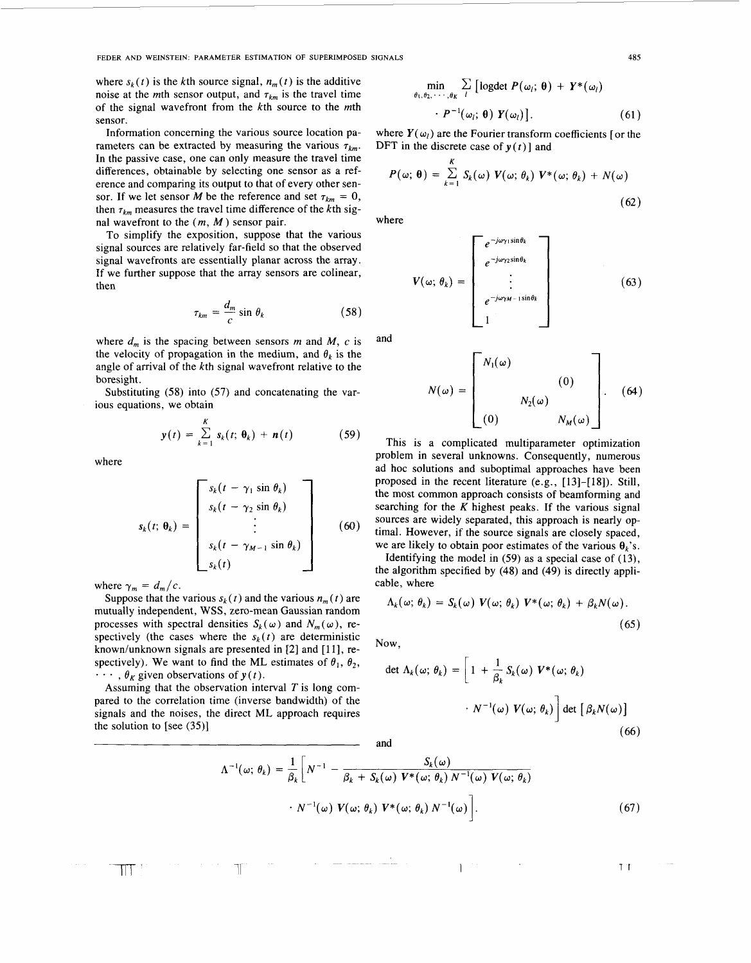**FEDER AND WEINSTEIN: PARAMETER ESTIMATION OF SUPERIMPOSED SIGNALS 485** 

where  $s_k(t)$  is the kth source signal,  $n_m(t)$  is the additive noise at the *m*th sensor output, and  $\tau_{km}$  is the travel time of the signal wavefront from the  $k$ th source to the  $m$ th sensor.

Information concerning the various source location parameters can be extracted by measuring the various  $\tau_{km}$ . In the passive case, one can only measure the travel time differences, obtainable by selecting one sensor as a reference and comparing its output to that of every other sensor. If we let sensor *M* be the reference and set  $\tau_{km} = 0$ , then  $\tau_{km}$  measures the travel time difference of the kth signal wavefront to the *(m,* M ) sensor pair.

To simplify the exposition, suppose that the various signal sources are relatively far-field so that the observed signal wavefronts are essentially planar across the array. If we further suppose that the array sensors are colinear, then

$$
\tau_{km} = \frac{d_m}{c} \sin \theta_k \tag{58}
$$

where  $d_m$  is the spacing between sensors *m* and *M*, *c* is the velocity of propagation in the medium, and  $\theta_k$  is the angle of arrival of the kth signal wavefront relative to the boresight.

Substituting (58) into (57) and concatenating the various equations, we obtain

$$
y(t) = \sum_{k=1}^{K} s_k(t; \theta_k) + n(t) \qquad (59)
$$

where

$$
s_k(t; \theta_k) = \begin{bmatrix} s_k(t - \gamma_1 \sin \theta_k) \\ s_k(t - \gamma_2 \sin \theta_k) \\ \vdots \\ s_k(t - \gamma_{M-1} \sin \theta_k) \\ s_k(t) \end{bmatrix}
$$
 (60)

where  $\gamma_m = d_m/c$ .

 $\mathbb{T} \mathbb{T}$  .

Suppose that the various  $s_k(t)$  and the various  $n_m(t)$  are mutually independent, WSS , zero-mean Gaussian random processes with spectral densities  $S_k(\omega)$  and  $N_m(\omega)$ , respectively (the cases where the  $s_k(t)$  are deterministic known/unknown signals are presented in  $[2]$  and  $[11]$ , respectively). We want to find the ML estimates of  $\theta_1$ ,  $\theta_2$ ,  $\cdots$ ,  $\theta_K$  given observations of  $y(t)$ .

Assuming that the observation interval *T* is long compared to the correlation time (inverse bandwidth) of the signals and the noises, the direct ML approach requires the solution to [see (35)]

 $\Lambda$ 

 $\mathbb{T}$ 

$$
\min_{\theta_1, \theta_2, \cdots, \theta_K} \sum_{l} \left[ \text{logdet } P(\omega_l; \theta) + Y^*(\omega_l) \right. \\ \left. \qquad \qquad \cdot P^{-1}(\omega_l; \theta) Y(\omega_l) \right]. \tag{61}
$$

where  $Y(\omega_i)$  are the Fourier transform coefficients [or the DFT in the discrete case of  $y(t)$ ] and

$$
P(\omega; \theta) = \sum_{k=1}^{K} S_k(\omega) V(\omega; \theta_k) V^*(\omega; \theta_k) + N(\omega)
$$
\n(62)

where

$$
V(\omega; \theta_k) = \begin{bmatrix} e^{-j\omega_{\gamma1}\sin\theta_k} \\ e^{-j\omega_{\gamma2}\sin\theta_k} \\ \vdots \\ e^{-j\omega_{\gamma M-1}\sin\theta_k} \\ 1 \end{bmatrix}
$$
 (63)

and

$$
N(\omega) = \begin{bmatrix} N_1(\omega) & & & \\ & (0) & \\ & N_2(\omega) & \\ (0) & & N_M(\omega) \end{bmatrix} .
$$
 (64)

This is a complicated multiparameter optimization problem in several unknowns. Consequently, numerous ad hoc solutions and suboptimal approaches have been proposed in the recent literature (e.g., [13]-[18]). Still, the most common approach consists of beamforming and searching for the *K* highest peaks. If the various signal sources are widely separated, this approach is nearly optimal. However, if the source signals are closely spaced, we are likely to obtain poor estimates of the various  $\theta_k$ 's.

Identifying the model in (59) as a special case of (13), the algorithm specified by (48) and (49) is directly applicable, where

$$
\Lambda_k(\omega; \theta_k) = S_k(\omega) V(\omega; \theta_k) V^*(\omega; \theta_k) + \beta_k N(\omega).
$$
\n(65)

Now,

det 
$$
\Lambda_k(\omega; \theta_k)
$$
 =  $\left[1 + \frac{1}{\beta_k} S_k(\omega) V^*(\omega; \theta_k)\right.\n\left.\cdot N^{-1}(\omega) V(\omega; \theta_k)\right]$ det  $\left[\beta_k N(\omega)\right]$  (66)

and

$$
f^{-1}(\omega; \theta_k) = \frac{1}{\beta_k} \bigg[ N^{-1} - \frac{S_k(\omega)}{\beta_k + S_k(\omega) V^*(\omega; \theta_k) N^{-1}(\omega) V(\omega; \theta_k)} \cdot N^{-1}(\omega) V(\omega; \theta_k) V^*(\omega; \theta_k) N^{-1}(\omega) \bigg].
$$
\n
$$
(67)
$$

 $\mathbf{I}$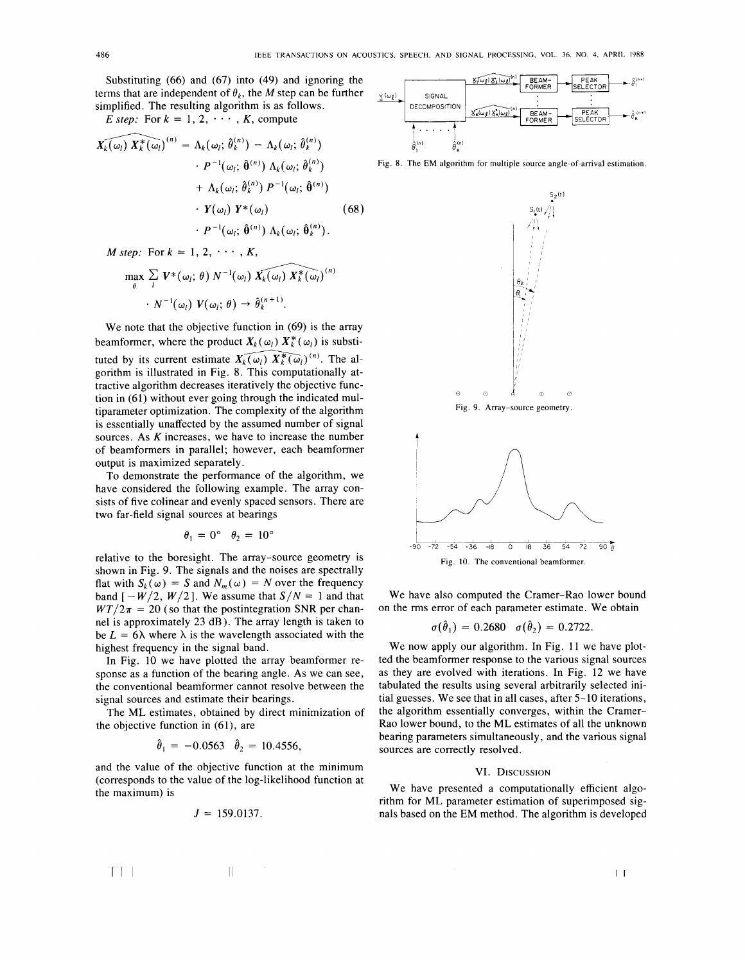Substituting (66) and (67) into (49) and ignoring the terms that are independent of  $\theta_k$ , the *M* step can be further simplified. The resulting algorithm is as follows.

*E* step: For  $k = 1, 2, \cdots, K$ , compute

$$
\widehat{X_k(\omega_l)} \widehat{X_k^*(\omega_l)}^{(n)} = \Lambda_k(\omega_l; \widehat{\theta}_k^{(n)}) - \Lambda_k(\omega_l; \widehat{\theta}_k^{(n)}) \n\cdot P^{-1}(\omega_l; \widehat{\theta}^{(n)}) \Lambda_k(\omega_l; \widehat{\theta}_k^{(n)}) \n+ \Lambda_k(\omega_l; \widehat{\theta}_k^{(n)}) P^{-1}(\omega_l; \widehat{\theta}^{(n)}) \n\cdot Y(\omega_l) Y^*(\omega_l) \n\cdot P^{-1}(\omega_l; \widehat{\theta}^{(n)}) \Lambda_k(\omega_l; \widehat{\theta}_k^{(n)}).
$$
\n(68)

*M step*: For  $k = 1, 2, \cdots, K$ ,

$$
\max_{\theta} \sum_{l} \mathbf{V}^*(\omega_l; \theta) N^{-1}(\omega_l) \widehat{\mathbf{X}_k(\omega_l)} \widehat{\mathbf{X}_k^*(\omega_l)}^{(n)} \cdot N^{-1}(\omega_l) \mathbf{V}(\omega_l; \theta) \rightarrow \widehat{\theta}_k^{(n+1)}.
$$

We note that the objective function in (69) is the array beamformer, where the product  $X_k(\omega_l) X_k^*(\omega_l)$  is substituted by its current estimate  $\widehat{X_k(\omega_l)} \widehat{X_k^*(\omega_l)}^{(n)}$ . The algorithm is illustrated in Fig. 8. This computationally attractive algorithm decreases iteratively the objective function in (61) without ever going through the indicated multiparameter optimization. The complexity of the algorithm is essentially unaffected by the assumed number of signal sources. **As** *K* increases, we have to increase the number of beamformers in parallel; however, each beamformer output is maximized separately.

To demonstrate the performance of the algorithm, we have considered the following example. The array consists of five colinear and evenly spaced sensors. There are two far-field signal sources at bearings

$$
\theta_1 = 0^{\circ} \quad \theta_2 = 10^{\circ}
$$

relative to the boresight. The array-source geometry is shown in Fig. 9. The signals and the noises are spectrally flat with  $S_k(\omega) = S$  and  $N_m(\omega) = N$  over the frequency band  $[-W/2, W/2]$ . We assume that  $S/N = 1$  and that  $WT/2\pi = 20$  (so that the postintegration SNR per channel is approximately 23 dB). The array length is taken to be  $L = 6\lambda$  where  $\lambda$  is the wavelength associated with the highest frequency in the signal band.

In Fig. 10 we have plotted the array beamformer response as a function of the bearing angle. **As** we can see, the conventional beamformer cannot resolve between the signal sources and estimate their bearings.

The ML estimates, obtained by direct minimization of the objective function in (61), are

$$
\hat{\theta}_1 = -0.0563
$$
  $\hat{\theta}_2 = 10.4556$ ,

and the value of the objective function at the minimum (corresponds to the value of the log-likelihood function at the maximum) is

$$
J = 159.0137.
$$



Fig. 8. The EM algorithm for multiple source angle-of-arrival estimation.



 $\mathbf{I}$ 



Fig. 10. The conventional beamformer.

We have also computed the Cramer-Rao lower bound on the rms error of each parameter estimate. We obtain

$$
\sigma(\hat{\theta}_1) = 0.2680 \quad \sigma(\hat{\theta}_2) = 0.2722.
$$

We now apply our algorithm. In [Fig. 11](#page-10-0) we have plotted the beamformer response to the various signal sources as they are evolved with iterations. In [Fig. 12](#page-10-0) we have tabulated the results using several arbitrarily selected initial guesses. We see that in all cases, after 5-10 iterations, the algorithm essentially converges, within the Cramer-Rao lower bound, to the ML estimates of all the unknown bearing parameters simultaneously, and the various signal sources are correctly resolved.

#### VI. **DISCUSSION**

We have presented a computationally efficient algorithm for ML parameter estimation of superimposed signals based on the EM method. The algorithm is developed

ri I II II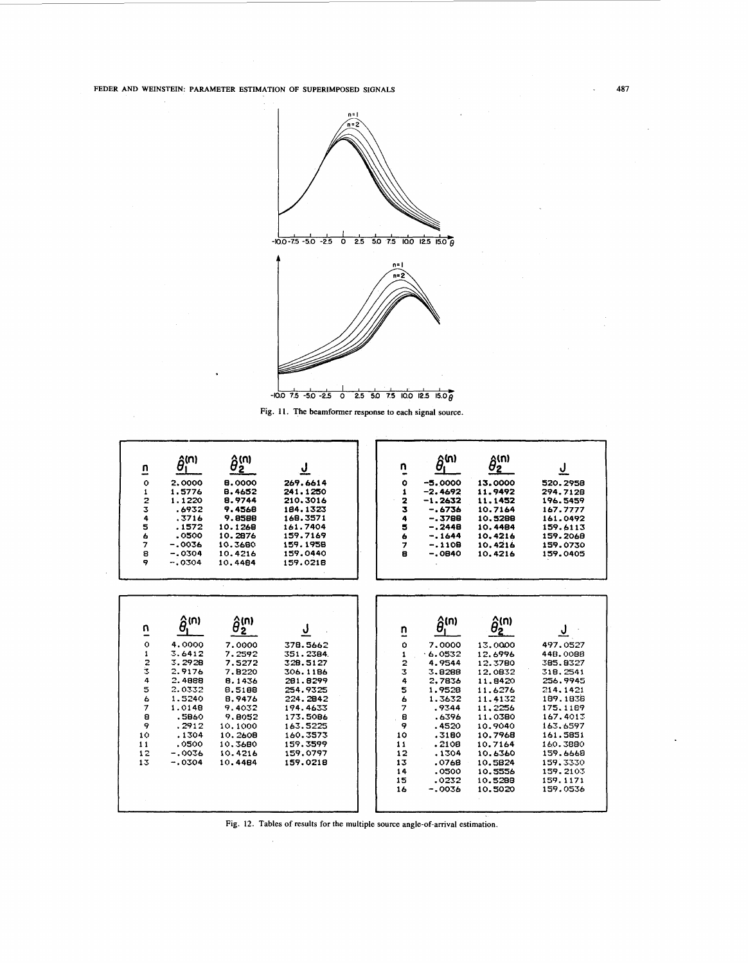<span id="page-10-0"></span>FEDER AND WEINSTEIN: PARAMETER ESTIMATION OF SUPERIMPOSED SIGNALS



Fig. 11. The beamformer response to each signal source.

| n                       | $\hat{\theta}_{1}^{(n)}$    | $\hat{\theta}_2^{(n)}$ |                      | n<br>-        | $\hat{\theta}^{\text{(n)}}$ | $\hat{\theta}_2^{(n)}$ | <u>ل</u>             |
|-------------------------|-----------------------------|------------------------|----------------------|---------------|-----------------------------|------------------------|----------------------|
| $\ddot{\mathbf{O}}$     | 2.0000                      | 8.0000                 | 269.6614             | ۰             | $-5.0000$                   | 13.0000                | 520.2958             |
| 1                       | 1.5776                      | 8.4652                 | 241.1250             | $\mathbf{1}$  | $-2.4692$                   | 11.9492                | 294.7128             |
| $\frac{2}{3}$           | 1.1220<br>.6932             | 8.9744<br>9.4568       | 210.3016<br>184.1323 | $\frac{2}{3}$ | $-1.2632$                   | 11.1452                | 196.5459<br>167.7777 |
| 4                       | .3716                       | 9.8588                 | 168.3571             | 4             | $-.6736$<br>$-.3788$        | 10.7164<br>10.5288     | 161.0492             |
|                         | .1572                       | 10.1268                | 161.7404             | 5             | $-.2448$                    | 10.4484                | 159.6113             |
| 5<br>6                  | .0500                       | 10.2876                | 159.7169             | 6             | $-.1644$                    | 10.4216                | 159.2068             |
| $\overline{\mathbf{z}}$ | $-.0036$                    | 10.3680                | 159.1958             | 7             | $-.1108$                    | 10.4216                | 159.0730             |
| 8                       | $-.0304$                    | 10.4216                | 159.0440             | ē             | $-.0840$                    | 10.4216                | 159.0405             |
| 9                       | $-.0304$                    | 10.4484                | 159.0218             |               |                             |                        |                      |
|                         |                             |                        |                      |               |                             |                        |                      |
|                         |                             |                        |                      |               |                             |                        |                      |
|                         |                             |                        |                      |               |                             |                        |                      |
|                         |                             |                        |                      |               |                             |                        |                      |
|                         |                             |                        |                      |               |                             |                        |                      |
|                         |                             |                        |                      |               |                             |                        |                      |
| n                       | $\hat{\theta}^{\text{(n)}}$ | $\hat{\theta}_2^{(n)}$ | ψ                    | n             | $\hat{\theta}_i^{(n)}$      | $\hat{\theta}_2^{(n)}$ |                      |
|                         |                             |                        |                      | -             |                             |                        |                      |
| $\mathbf{o}$            | 4.0000                      | 7.0000                 | 378.5662             | Ō             | 7.0000                      | 13.0000                | 497.0527             |
| 1                       | 3.6412                      | 7.2592                 | 351.2384             | 1             | .6.0532                     | 12.6996                | 448.0088             |
| $\frac{2}{3}$           | 3.2928                      | 7.5272                 | 328.5127             |               | 4.9544                      | 12.3780                | 385.8327             |
|                         | 2.9176                      | 7.8220                 | 306.1186             | 2<br>3<br>4   | 3.8288                      | 12.0832                | 318, 2541            |
| 4                       | 2.4888                      | 8.1436                 | 281.8299             |               | 2.7836                      | 11.8420                | 256.9945             |
| 5                       | 2.0332                      | 8.5188                 | 254.9325             | 5             | 1.9528                      | 11.6276                | 214.1421             |
| ь                       | 1.5240                      | 8.9476                 | 224.2842             | 6             | 1.3632                      | 11,4132                | 189.1838             |
| 7                       | 1.0148                      | 9.4032                 | 194.4633             | 7             | .9344                       | 11,2256                | 175, 1189            |
| 8                       | .5860                       | 9.8052                 | 173.5086             | 8             | .6396                       | 11.0380                | 167.4013             |
| 9                       | .2912                       | 10.1000                | 163.5225             | 9             | .4520                       | 10.9040                | 163.6597             |
| 10                      | .1304                       | 10.2608                | 160.3573             | 10            | .3180                       | 10.7968                | 161.5851             |
| 11                      | .0500                       | 10.3680                | 159.3599             | 11            | .2108                       | 10.7164                | 160.3880             |
| 12                      | $-0.0036$                   | 10.4216                | 159.0797             | 12            | .1304                       | 10.6360                | 159.6668             |
| 13                      | $-.0304$                    | 10.4484                | 159.0218             | 13            | .0768                       | 10.5824                | 159.3330             |
|                         |                             |                        |                      | 14            | .0500                       | 10.5556                | 159.2103             |
|                         |                             |                        |                      | 15            | .0232                       | 10.5288                | 159.1171             |
|                         |                             |                        |                      | 16            | $-0.0036$                   | 10.5020                | 159.0536             |
|                         |                             |                        |                      |               |                             |                        |                      |
|                         |                             |                        |                      |               |                             |                        |                      |

Fig. 12. Tables of results for the multiple source angle-of-arrival estimation.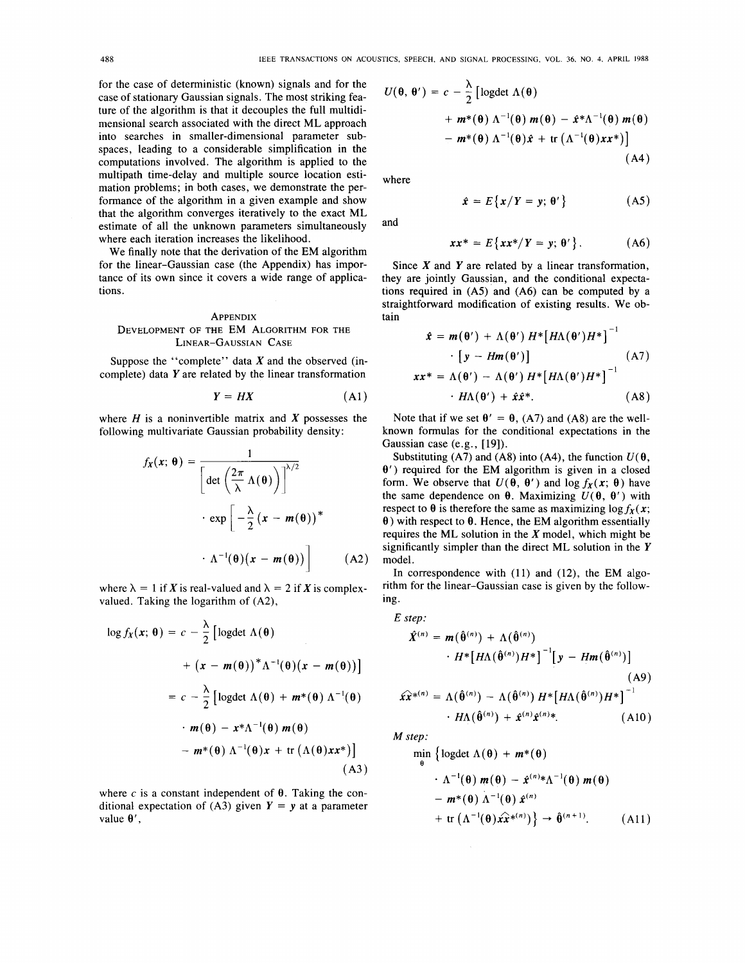for the case of deterministic (known) signals and for the case of stationary Gaussian signals. The most striking feature of the algorithm is that it decouples the full multidimensional search associated with the direct ML approach into searches in smaller-dimensional parameter subspaces, leading to a considerable simplification in the computations involved. The algorithm is applied to the multipath time-delay and multiple source location estimation problems; in both cases, we demonstrate the performance of the algorithm in a given example and show that the algorithm converges iteratively to the exact ML estimate of all the unknown parameters simultaneously where each iteration increases the likelihood.

We finally note that the derivation of the EM algorithm for the linear-Gaussian case (the Appendix) has importance of its own since it covers a wide range of applications.

#### **APPENDIX**

# DEVELOPMENT OF THE EM ALGORITHM FOR THE LINEAR-GAUSSIAN CASE

Suppose the "complete" data *X* and the observed (incomplete) data  $Y$  are related by the linear transformation

$$
Y = HX \tag{A1}
$$

where  $H$  is a noninvertible matrix and  $X$  possesses the following multivariate Gaussian probability density:

$$
f_X(x; \theta) = \frac{1}{\left[\det\left(\frac{2\pi}{\lambda}\Lambda(\theta)\right)\right]^{1/2}}
$$

$$
\cdot \exp\left[-\frac{\lambda}{2}(x - m(\theta))^* - \Lambda^{-1}(\theta)(x - m(\theta))\right]
$$
(A2)

where  $\lambda = 1$  if *X* is real-valued and  $\lambda = 2$  if *X* is complexvalued. Taking the logarithm of (A2),

$$
\log f_X(x; \theta) = c - \frac{\lambda}{2} \left[ \log \det \Lambda(\theta) \right.+ (x - m(\theta))^* \Lambda^{-1}(\theta) (x - m(\theta)) \right] = c - \frac{\lambda}{2} \left[ \log \det \Lambda(\theta) + m^*(\theta) \Lambda^{-1}(\theta) \right.\cdot m(\theta) - x^* \Lambda^{-1}(\theta) m(\theta) - m^*(\theta) \Lambda^{-1}(\theta) x + \text{tr} (\Lambda(\theta) xx^*) \right] (A3)
$$

where  $c$  is a constant independent of  $\theta$ . Taking the conditional expectation of  $(A3)$  given  $Y = y$  at a parameter value  $\theta'$ ,

$$
U(\theta, \theta') = c - \frac{\lambda}{2} \left[ \log \det \Lambda(\theta) + m^*(\theta) \Lambda^{-1}(\theta) m(\theta) - \hat{x}^* \Lambda^{-1}(\theta) m(\theta) - m^*(\theta) \Lambda^{-1}(\theta) \hat{x} + \text{tr} \left( \Lambda^{-1}(\theta) x x^* \right) \right]
$$
\n(A4)

where

$$
\hat{x} = E\{x/Y = y; \theta'\}
$$
 (A5)

and

$$
xx^* = E\{xx^*/Y = y; \theta'\}.
$$
 (A6)

Since *X* and *Y* are related by a linear transformation, they are jointly Gaussian, and the conditional expectations required in (A5) and (A6) can be computed by a straightforward modification of existing results. We obtain

$$
\hat{x} = m(\theta') + \Lambda(\theta') H^* [H\Lambda(\theta')H^*]^{-1}
$$
  
\n
$$
\cdot [y - Hm(\theta')]
$$
(A7)  
\n
$$
xx^* = \Lambda(\theta') - \Lambda(\theta') H^* [H\Lambda(\theta')H^*]^{-1}
$$
  
\n
$$
\cdot H\Lambda(\theta') + \hat{x}\hat{x}^*.
$$
(A8)

Note that if we set  $\theta' = \theta$ , (A7) and (A8) are the wellknown formulas for the conditional expectations in the Gaussian case (e.g., [19]).

Substituting (A7) and (A8) into (A4), the function  $U(\theta)$ , **8')** required for the EM algorithm is given in a closed form. We observe that  $U(\theta, \theta')$  and  $\log f_X(x; \theta)$  have the same dependence on  $\theta$ . Maximizing  $U(\theta, \theta')$  with respect to  $\theta$  is therefore the same as maximizing log  $f_X(x)$ ;  $\theta$ ) with respect to  $\theta$ . Hence, the EM algorithm essentially requires the ML solution in the **X** model, which might be significantly simpler than the direct ML solution in the Y model.

In correspondence with  $(11)$  and  $(12)$ , the EM algorithm for the linear-Gaussian case is given by the following.

$$
E step:\n\hat{X}^{(n)} = m(\hat{\theta}^{(n)}) + \Lambda(\hat{\theta}^{(n)})\n\cdot H^*[H\Lambda(\hat{\theta}^{(n)})H^*]^{-1}[y - Hm(\hat{\theta}^{(n)})]
$$
\n(A9)\n
$$
\hat{xx}^{*(n)} = \Lambda(\hat{\theta}^{(n)}) - \Lambda(\hat{\theta}^{(n)})H^*[H\Lambda(\hat{\theta}^{(n)})H^*]^{-1}\n\cdot H\Lambda(\hat{\theta}^{(n)}) + \hat{x}^{(n)}\hat{x}^{(n)*}.
$$
\n(A10)

*M step:* 

*e*  min {logdet  $\Lambda(\theta) + m^*(\theta)$ 

$$
\begin{aligned}\n\cdot \Lambda^{-1}(\theta) \, m(\theta) &- \hat{x}^{(n)} \cdot \Lambda^{-1}(\theta) \, m(\theta) \\
&- m^*(\theta) \, \Lambda^{-1}(\theta) \, \hat{x}^{(n)} \\
&+ \text{tr} \left( \Lambda^{-1}(\theta) \hat{x} \hat{x}^{*(n)} \right) \right\} \rightarrow \hat{\theta}^{(n+1)}.\n\end{aligned} \tag{A11}
$$